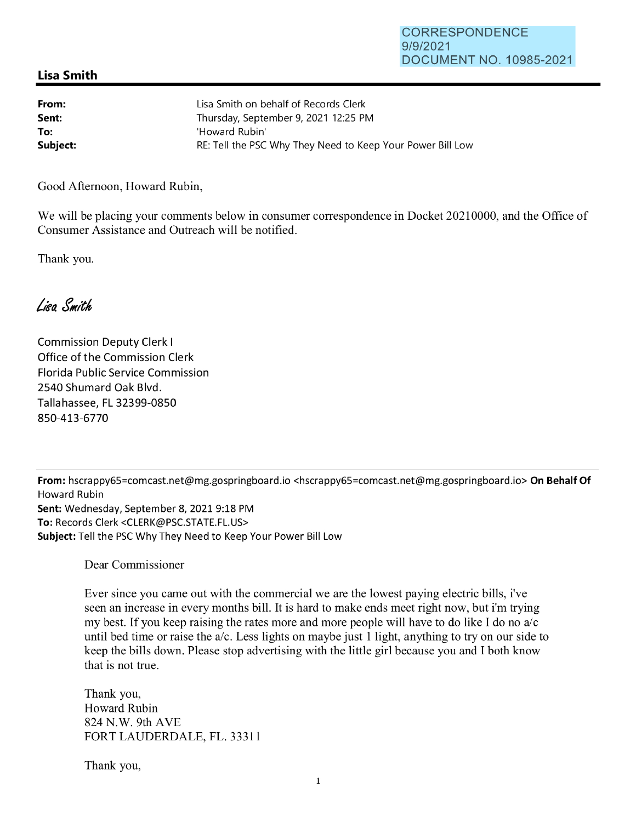## **Lisa Smith**

| From:    | Lisa Smith on behalf of Records Clerk                      |
|----------|------------------------------------------------------------|
| Sent:    | Thursday, September 9, 2021 12:25 PM                       |
| To:      | 'Howard Rubin'                                             |
| Subject: | RE: Tell the PSC Why They Need to Keep Your Power Bill Low |

Good Afternoon, Howard Rubin,

We will be placing your comments below in consumer correspondence in Docket 20210000, and the Office of Consumer Assistance and Outreach will be notified.

Thank you.

Lisa Smith

Commission Deputy Clerk I Office of the Commission Clerk Florida Public Service Commission 2540 Shumard Oak Blvd. Tallahassee, FL 32399-0850 850-413-6770

**From:** hscrappy65=comcast.net@mg.gospringboard.io <hscrappy65=comcast.net@mg.gospringboard.io> **On Behalf Of**  Howard Rubin **Sent:** Wednesday, September 8, 2021 9:18 PM **To:** Records Clerk <CLERK@PSC.STATE.FL.US> **Subject:** Tell the PSC Why They Need to Keep Your Power Bill Low

Dear Commissioner

Ever since you came out with the commercial we are the lowest paying electric bills, i've seen an increase in every months bill. It is hard to make ends meet right now, but i'm trying my best. If you keep raising the rates more and more people will have to do like I do no  $a/c$ until bed time or raise the a/c. Less lights on maybe just 1 light, anything to try on our side to keep the bills down. Please stop advertising with the little girl because you and I both know that is not true.

Thank you, Howard Rubin 824 N.W. 9th AVE FORT LAUDERDALE, FL. 33311

Thank you,